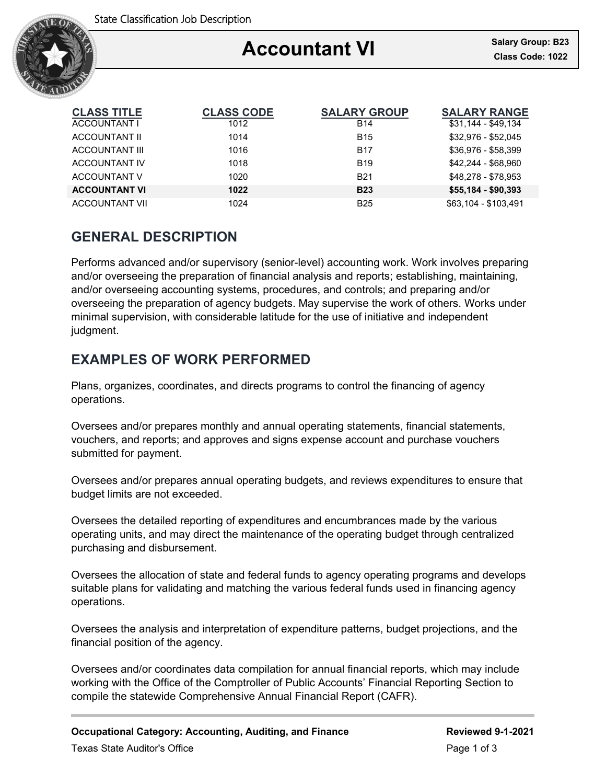

### Ξ **Accountant VI**

| <b>CLASS TITLE</b>    | <b>CLASS CODE</b> | <b>SALARY GROUP</b> | <b>SALARY RANGE</b>  |
|-----------------------|-------------------|---------------------|----------------------|
| ACCOUNTANT I          | 1012              | <b>B14</b>          | \$31,144 - \$49,134  |
| ACCOUNTANT II         | 1014              | <b>B15</b>          | \$32,976 - \$52,045  |
| <b>ACCOUNTANT III</b> | 1016              | <b>B17</b>          | \$36,976 - \$58,399  |
| <b>ACCOUNTANT IV</b>  | 1018              | <b>B19</b>          | \$42.244 - \$68.960  |
| ACCOUNTANT V          | 1020              | <b>B21</b>          | \$48.278 - \$78.953  |
| <b>ACCOUNTANT VI</b>  | 1022              | <b>B23</b>          | $$55,184 - $90,393$  |
| <b>ACCOUNTANT VII</b> | 1024              | <b>B25</b>          | \$63,104 - \$103,491 |

# **GENERAL DESCRIPTION**

Performs advanced and/or supervisory (senior-level) accounting work. Work involves preparing and/or overseeing the preparation of financial analysis and reports; establishing, maintaining, and/or overseeing accounting systems, procedures, and controls; and preparing and/or overseeing the preparation of agency budgets. May supervise the work of others. Works under minimal supervision, with considerable latitude for the use of initiative and independent judgment.

# **EXAMPLES OF WORK PERFORMED**

Plans, organizes, coordinates, and directs programs to control the financing of agency operations.

Oversees and/or prepares monthly and annual operating statements, financial statements, vouchers, and reports; and approves and signs expense account and purchase vouchers submitted for payment.

Oversees and/or prepares annual operating budgets, and reviews expenditures to ensure that budget limits are not exceeded.

Oversees the detailed reporting of expenditures and encumbrances made by the various operating units, and may direct the maintenance of the operating budget through centralized purchasing and disbursement.

Oversees the allocation of state and federal funds to agency operating programs and develops suitable plans for validating and matching the various federal funds used in financing agency operations.

Oversees the analysis and interpretation of expenditure patterns, budget projections, and the financial position of the agency.

Oversees and/or coordinates data compilation for annual financial reports, which may include working with the Office of the Comptroller of Public Accounts' Financial Reporting Section to compile the statewide Comprehensive Annual Financial Report (CAFR).

**Occupational Category: Accounting, Auditing, and Finance <b>Reviewed** 9-1-2021 Texas State Auditor's Office **Page 1 of 3**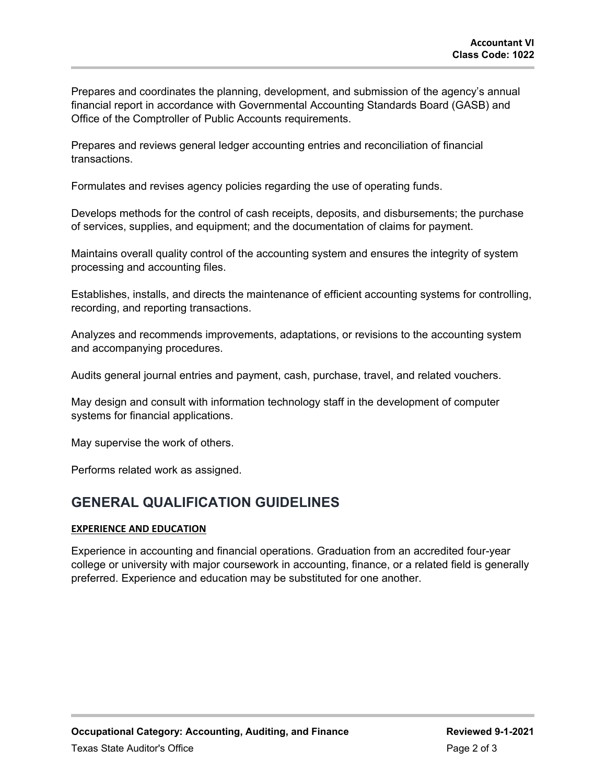Prepares and coordinates the planning, development, and submission of the agency's annual financial report in accordance with Governmental Accounting Standards Board (GASB) and Office of the Comptroller of Public Accounts requirements.

Prepares and reviews general ledger accounting entries and reconciliation of financial transactions.

Formulates and revises agency policies regarding the use of operating funds.

Develops methods for the control of cash receipts, deposits, and disbursements; the purchase of services, supplies, and equipment; and the documentation of claims for payment.

Maintains overall quality control of the accounting system and ensures the integrity of system processing and accounting files.

Establishes, installs, and directs the maintenance of efficient accounting systems for controlling, recording, and reporting transactions.

Analyzes and recommends improvements, adaptations, or revisions to the accounting system and accompanying procedures.

Audits general journal entries and payment, cash, purchase, travel, and related vouchers.

May design and consult with information technology staff in the development of computer systems for financial applications.

May supervise the work of others.

Performs related work as assigned.

## **GENERAL QUALIFICATION GUIDELINES**

### **EXPERIENCE AND EDUCATION**

Experience in accounting and financial operations. Graduation from an accredited four-year college or university with major coursework in accounting, finance, or a related field is generally preferred. Experience and education may be substituted for one another.